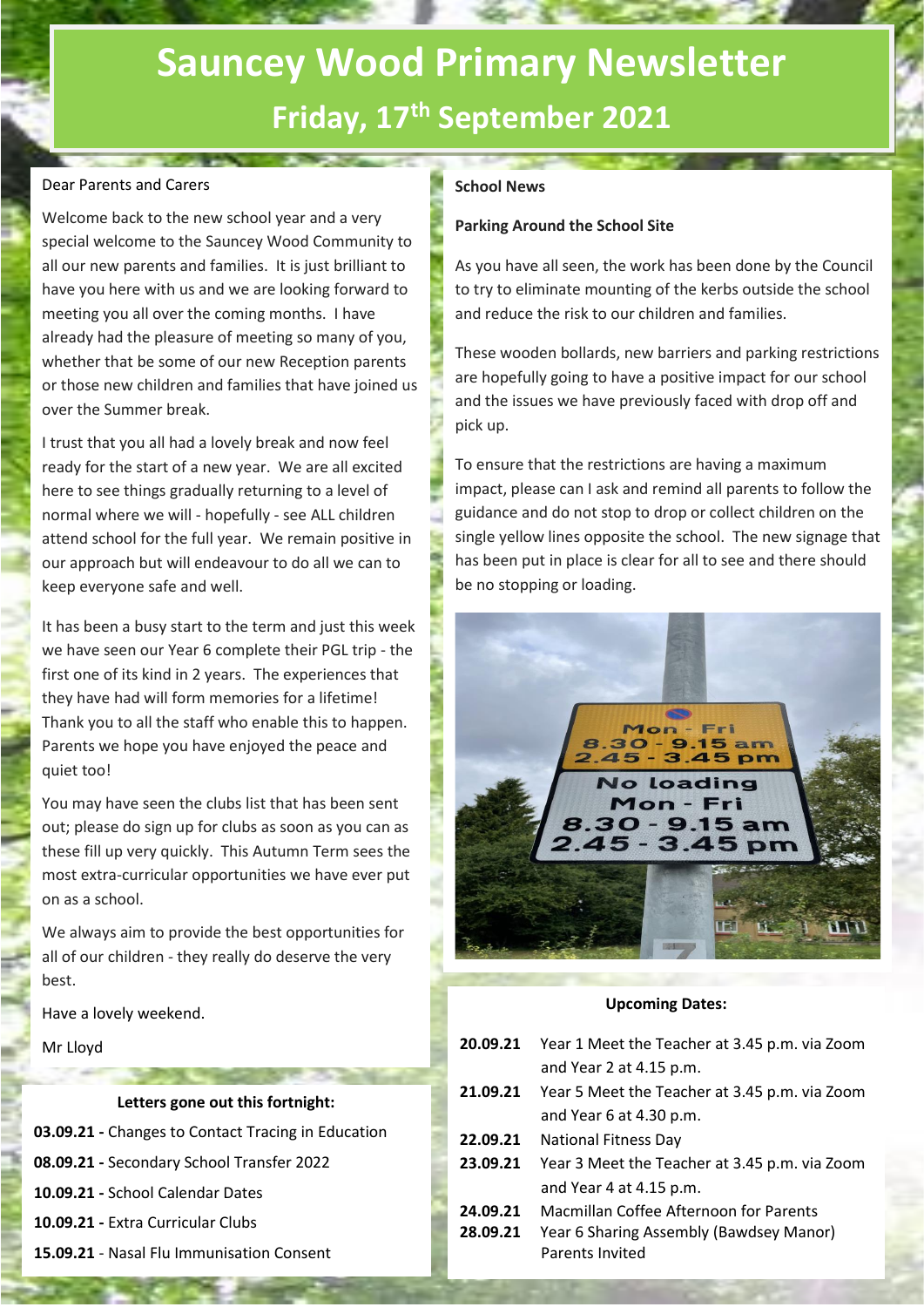# **Sauncey Wood Primary Newsletter Friday, 17th September 2021**

#### Dear Parents and Carers

Welcome back to the new school year and a very special welcome to the Sauncey Wood Community to all our new parents and families. It is just brilliant to have you here with us and we are looking forward to meeting you all over the coming months. I have already had the pleasure of meeting so many of you, whether that be some of our new Reception parents or those new children and families that have joined us over the Summer break.

I trust that you all had a lovely break and now feel ready for the start of a new year. We are all excited here to see things gradually returning to a level of normal where we will - hopefully - see ALL children attend school for the full year. We remain positive in our approach but will endeavour to do all we can to keep everyone safe and well.

It has been a busy start to the term and just this week we have seen our Year 6 complete their PGL trip - the first one of its kind in 2 years. The experiences that they have had will form memories for a lifetime! Thank you to all the staff who enable this to happen. Parents we hope you have enjoyed the peace and quiet too!

You may have seen the clubs list that has been sent out; please do sign up for clubs as soon as you can as these fill up very quickly. This Autumn Term sees the most extra-curricular opportunities we have ever put on as a school.

We always aim to provide the best opportunities for all of our children - they really do deserve the very best.

Have a lovely weekend.

Mr Lloyd

#### **Letters gone out this fortnight:**

- **03.09.21 -** Changes to Contact Tracing in Education
- **08.09.21 -** Secondary School Transfer 2022
- **10.09.21 -** School Calendar Dates
- **10.09.21 -** Extra Curricular Clubs
- **15.09.21** Nasal Flu Immunisation Consent

#### **School News**

#### **Parking Around the School Site**

As you have all seen, the work has been done by the Council to try to eliminate mounting of the kerbs outside the school and reduce the risk to our children and families.

These wooden bollards, new barriers and parking restrictions are hopefully going to have a positive impact for our school and the issues we have previously faced with drop off and pick up.

To ensure that the restrictions are having a maximum impact, please can I ask and remind all parents to follow the guidance and do not stop to drop or collect children on the single yellow lines opposite the school. The new signage that has been put in place is clear for all to see and there should be no stopping or loading.



#### **Upcoming Dates:**

- **20.09.21** Year 1 Meet the Teacher at 3.45 p.m. via Zoom and Year 2 at 4.15 p.m.
- **21.09.21** Year 5 Meet the Teacher at 3.45 p.m. via Zoom and Year 6 at 4.30 p.m.
- **22.09.21** National Fitness Day
- **23.09.21** Year 3 Meet the Teacher at 3.45 p.m. via Zoom and Year 4 at 4.15 p.m.
- **24.09.21** Macmillan Coffee Afternoon for Parents
- **28.09.21** Year 6 Sharing Assembly (Bawdsey Manor) Parents Invited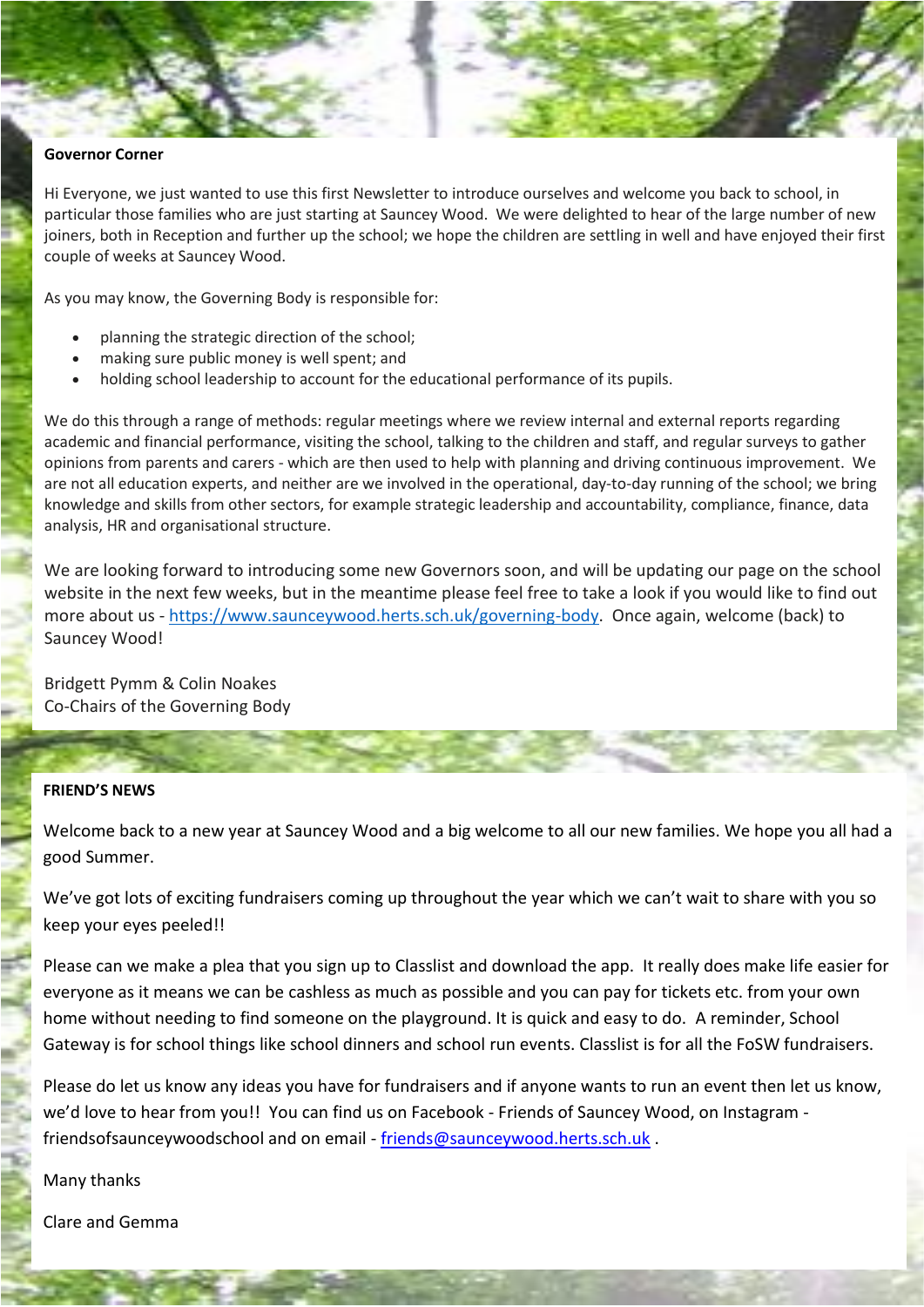#### **Governor Corner**

Hi Everyone, we just wanted to use this first Newsletter to introduce ourselves and welcome you back to school, in particular those families who are just starting at Sauncey Wood. We were delighted to hear of the large number of new joiners, both in Reception and further up the school; we hope the children are settling in well and have enjoyed their first couple of weeks at Sauncey Wood.

As you may know, the Governing Body is responsible for:

- planning the strategic direction of the school;
- making sure public money is well spent; and
- holding school leadership to account for the educational performance of its pupils.

We do this through a range of methods: regular meetings where we review internal and external reports regarding academic and financial performance, visiting the school, talking to the children and staff, and regular surveys to gather opinions from parents and carers - which are then used to help with planning and driving continuous improvement. We are not all education experts, and neither are we involved in the operational, day-to-day running of the school; we bring knowledge and skills from other sectors, for example strategic leadership and accountability, compliance, finance, data analysis, HR and organisational structure.

We are looking forward to introducing some new Governors soon, and will be updating our page on the school website in the next few weeks, but in the meantime please feel free to take a look if you would like to find out more about us - [https://www.saunceywood.herts.sch.uk/governing-body.](https://www.saunceywood.herts.sch.uk/governing-body) Once again, welcome (back) to Sauncey Wood!

Bridgett Pymm & Colin Noakes Co-Chairs of the Governing Body

#### **FRIEND'S NEWS**

Welcome back to a new year at Sauncey Wood and a big welcome to all our new families. We hope you all had a good Summer.

We've got lots of exciting fundraisers coming up throughout the year which we can't wait to share with you so keep your eyes peeled!!

Please can we make a plea that you sign up to Classlist and download the app. It really does make life easier for everyone as it means we can be cashless as much as possible and you can pay for tickets etc. from your own home without needing to find someone on the playground. It is quick and easy to do. A reminder, School Gateway is for school things like school dinners and school run events. Classlist is for all the FoSW fundraisers.

Please do let us know any ideas you have for fundraisers and if anyone wants to run an event then let us know, we'd love to hear from you!! You can find us on Facebook - Friends of Sauncey Wood, on Instagram friendsofsaunceywoodschool and on email - [friends@saunceywood.herts.sch.uk](mailto:friends@saunceywood.herts.sch.uk) .

Many thanks

Clare and Gemma